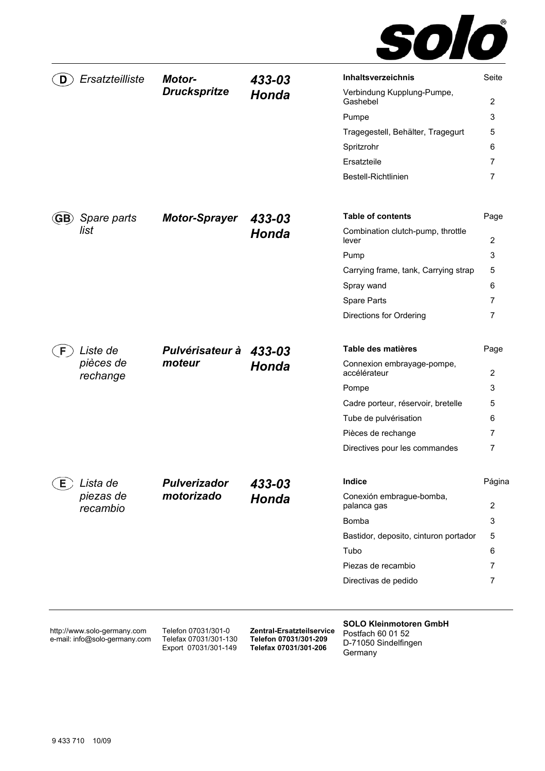

| Ersatzteilliste<br>D                                         | Motor-<br><b>Druckspritze</b>                                        | 433-03                                                                      | Inhaltsverzeichnis                                                                    | Seite          |
|--------------------------------------------------------------|----------------------------------------------------------------------|-----------------------------------------------------------------------------|---------------------------------------------------------------------------------------|----------------|
|                                                              |                                                                      | Honda                                                                       | Verbindung Kupplung-Pumpe,<br>Gashebel                                                | 2              |
|                                                              |                                                                      |                                                                             | Pumpe                                                                                 | 3              |
|                                                              |                                                                      |                                                                             | Tragegestell, Behälter, Tragegurt                                                     | 5              |
|                                                              |                                                                      |                                                                             | Spritzrohr                                                                            | 6              |
|                                                              |                                                                      |                                                                             | Ersatzteile                                                                           | 7              |
|                                                              |                                                                      |                                                                             | Bestell-Richtlinien                                                                   | 7              |
| Spare parts<br>GB)                                           | <b>Motor-Sprayer</b>                                                 | 433-03                                                                      | <b>Table of contents</b>                                                              | Page           |
| list                                                         |                                                                      | Honda                                                                       | Combination clutch-pump, throttle<br>lever                                            | $\overline{2}$ |
|                                                              |                                                                      |                                                                             | Pump                                                                                  | 3              |
|                                                              |                                                                      |                                                                             | Carrying frame, tank, Carrying strap                                                  | 5              |
|                                                              |                                                                      |                                                                             | Spray wand                                                                            | 6              |
|                                                              |                                                                      |                                                                             | Spare Parts                                                                           | 7              |
|                                                              |                                                                      |                                                                             | Directions for Ordering                                                               | 7              |
| Liste de<br>F.                                               | Pulvérisateur à 433-03                                               |                                                                             | Table des matières                                                                    | Page           |
| pièces de<br>rechange                                        | moteur                                                               | <b>Honda</b>                                                                | Connexion embrayage-pompe,<br>accélérateur                                            | 2              |
|                                                              |                                                                      |                                                                             | Pompe                                                                                 | 3              |
|                                                              |                                                                      |                                                                             | Cadre porteur, réservoir, bretelle                                                    | 5              |
|                                                              |                                                                      |                                                                             | Tube de pulvérisation                                                                 | 6              |
|                                                              |                                                                      |                                                                             | Pièces de rechange                                                                    | 7              |
|                                                              |                                                                      |                                                                             | Directives pour les commandes                                                         | 7              |
| E)<br>Lista de                                               | <b>Pulverizador</b>                                                  | 433-03                                                                      | Indice                                                                                | Página         |
| piezas de<br>recambio                                        | motorizado                                                           | Honda                                                                       | Conexión embrague-bomba,<br>palanca gas                                               | 2              |
|                                                              |                                                                      |                                                                             | Bomba                                                                                 | 3              |
|                                                              |                                                                      |                                                                             | Bastidor, deposito, cinturon portador                                                 | 5              |
|                                                              |                                                                      |                                                                             | Tubo                                                                                  | 6              |
|                                                              |                                                                      |                                                                             | Piezas de recambio                                                                    | 7              |
|                                                              |                                                                      |                                                                             | Directivas de pedido                                                                  | 7              |
| http://www.solo-germany.com<br>e-mail: info@solo-germany.com | Telefon 07031/301-0<br>Telefax 07031/301-130<br>Export 07031/301-149 | Zentral-Ersatzteilservice<br>Telefon 07031/301-209<br>Telefax 07031/301-206 | <b>SOLO Kleinmotoren GmbH</b><br>Postfach 60 01 52<br>D-71050 Sindelfingen<br>Germany |                |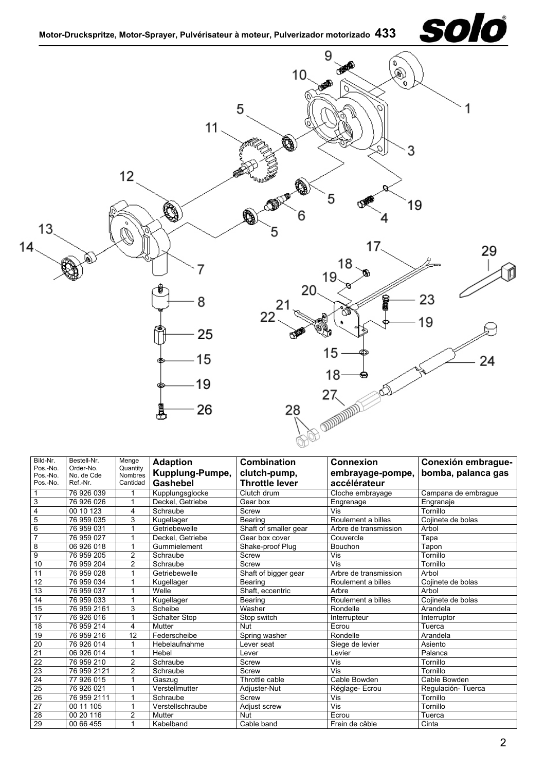

| Bild-Nr.             | Bestell-Nr.             | Menge                      | <b>Adaption</b>      | <b>Combination</b>    | <b>Connexion</b>      | Conexión embrague-  |
|----------------------|-------------------------|----------------------------|----------------------|-----------------------|-----------------------|---------------------|
| Pos.-No.<br>Pos.-No. | Order-No.<br>No. de Cde | Quantity<br><b>Nombres</b> | Kupplung-Pumpe,      | clutch-pump,          | embrayage-pompe,      | bomba, palanca gas  |
| Pos.-No.             | Ref.-Nr.                | Cantidad                   | Gashebel             | <b>Throttle lever</b> | accélérateur          |                     |
|                      | 76 926 039              |                            | Kupplungsglocke      | Clutch drum           | Cloche embrayage      | Campana de embrague |
| 3                    | 76 926 026              | 1                          | Deckel, Getriebe     | Gear box              | Engrenage             | Engranaje           |
| 4                    | 00 10 123               | 4                          | Schraube             | Screw                 | Vis                   | Tornillo            |
| 5                    | 76 959 035              | 3                          | Kugellager           | Bearing               | Roulement a billes    | Cojinete de bolas   |
| 6                    | 76 959 031              |                            | Getriebewelle        | Shaft of smaller gear | Arbre de transmission | Arbol               |
| $\overline{7}$       | 76 959 027              |                            | Deckel, Getriebe     | Gear box cover        | Couvercle             | Tapa                |
| 8                    | 06 926 018              |                            | Gummielement         | Shake-proof Plug      | Bouchon               | Tapon               |
| $\boldsymbol{9}$     | 76 959 205              | $\overline{2}$             | Schraube             | Screw                 | Vis                   | Tornillo            |
| 10                   | 76 959 204              | $\overline{2}$             | Schraube             | Screw                 | Vis                   | Tornillo            |
| 11                   | 76 959 028              |                            | Getriebewelle        | Shaft of bigger gear  | Arbre de transmission | Arbol               |
| $\overline{12}$      | 76 959 034              |                            | Kugellager           | Bearing               | Roulement a billes    | Cojinete de bolas   |
| $\overline{13}$      | 76 959 037              |                            | Welle                | Shaft, eccentric      | Arbre                 | Arbol               |
| 14                   | 76 959 033              |                            | Kugellager           | Bearing               | Roulement a billes    | Cojinete de bolas   |
| 15                   | 76 959 2161             | 3                          | Scheibe              | Washer                | Rondelle              | Arandela            |
| 17                   | 76 926 016              |                            | <b>Schalter Stop</b> | Stop switch           | Interrupteur          | Interruptor         |
| 18                   | 76 959 214              | 4                          | <b>Mutter</b>        | Nut                   | Ecrou                 | Tuerca              |
| 19                   | 76 959 216              | $\overline{12}$            | Federscheibe         | Spring washer         | Rondelle              | Arandela            |
| $\overline{20}$      | 76 926 014              |                            | Hebelaufnahme        | Lever seat            | Siege de levier       | Asiento             |
| $\overline{21}$      | 06 926 014              |                            | Hebel                | Lever                 | Levier                | Palanca             |
| $\overline{22}$      | 76 959 210              | $\overline{2}$             | Schraube             | Screw                 | Vis                   | Tornillo            |
| $\overline{23}$      | 76 959 2121             | $\overline{2}$             | Schraube             | Screw                 | Vis                   | Tornillo            |
| $\overline{24}$      | 77 926 015              |                            | Gaszug               | Throttle cable        | Cable Bowden          | Cable Bowden        |
| 25                   | 76 926 021              |                            | Verstellmutter       | Adjuster-Nut          | Réglage-Ecrou         | Regulación-Tuerca   |
| 26                   | 76 959 2111             |                            | Schraube             | Screw                 | Vis                   | Tornillo            |
| $\overline{27}$      | 00 11 105               | 1                          | Verstellschraube     | Adjust screw          | Vis                   | Tornillo            |
| 28                   | 00 20 116               | $\overline{2}$             | Mutter               | Nut                   | Ecrou                 | Tuerca              |
| 29                   | 00 66 455               | 1                          | Kabelband            | Cable band            | Frein de câble        | Cinta               |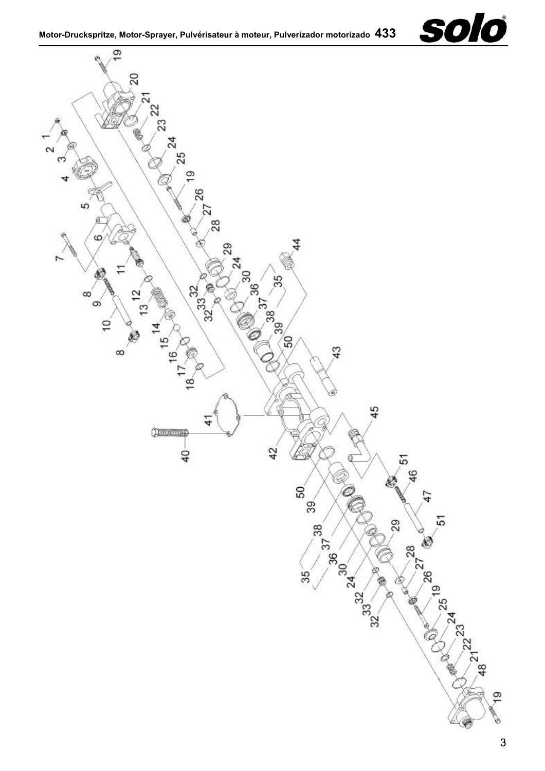

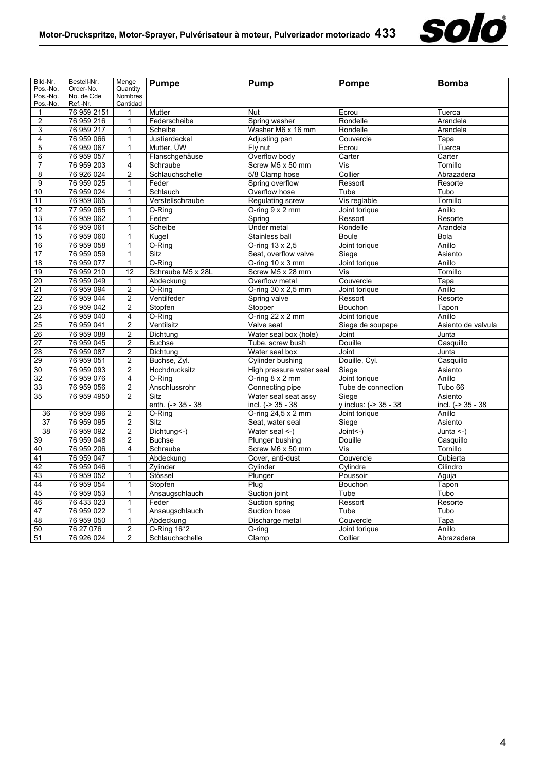

| Bild-Nr.             | Bestell-Nr.            | Menge               | <b>Pumpe</b>      | <b>Pump</b>              | Pompe                     | <b>Bomba</b>       |
|----------------------|------------------------|---------------------|-------------------|--------------------------|---------------------------|--------------------|
| Pos.-No.             | Order-No.              | Quantity            |                   |                          |                           |                    |
| Pos.-No.<br>Pos.-No. | No. de Cde<br>Ref.-Nr. | Nombres<br>Cantidad |                   |                          |                           |                    |
| 1                    | 76 959 2151            | 1                   | Mutter            | <b>Nut</b>               | Ecrou                     | Tuerca             |
| $\overline{c}$       | 76 959 216             | $\mathbf{1}$        | Federscheibe      | Spring washer            | Rondelle                  | Arandela           |
| 3                    | 76 959 217             | $\mathbf{1}$        | Scheibe           | Washer M6 x 16 mm        | Rondelle                  | Arandela           |
| $\overline{4}$       | 76 959 066             | $\mathbf{1}$        | Justierdeckel     | Adjusting pan            | Couvercle                 | Tapa               |
| 5                    | 76 959 067             | $\mathbf{1}$        | Mutter. ÜW        | Fly nut                  | Ecrou                     | Tuerca             |
| 6                    | 76 959 057             | $\mathbf{1}$        | Flanschgehäuse    | Overflow body            | Carter                    | Carter             |
| $\overline{7}$       | 76 959 203             | 4                   | Schraube          | Screw M5 x 50 mm         | $\overline{\mathsf{Vis}}$ | Tornillo           |
| 8                    | 76 926 024             | $\overline{2}$      | Schlauchschelle   | 5/8 Clamp hose           | Collier                   | Abrazadera         |
| 9                    | 76 959 025             | 1                   | Feder             | Spring overflow          | Ressort                   | Resorte            |
| 10                   | 76 959 024             | $\mathbf{1}$        | Schlauch          | Overflow hose            | Tube                      | Tubo               |
| 11                   | 76 959 065             | 1                   | Verstellschraube  | Regulating screw         | Vis reglable              | Tornillo           |
| 12                   | 77 959 065             | 1                   | O-Rina            | O-ring $9 \times 2$ mm   | Joint torique             | Anillo             |
| 13                   | 76 959 062             | $\mathbf{1}$        | Feder             | Spring                   | Ressort                   | Resorte            |
| 14                   | 76 959 061             | $\mathbf{1}$        | Scheibe           | Under metal              | Rondelle                  | Arandela           |
| 15                   | 76 959 060             | 1                   | Kugel             | Stainless ball           | <b>Boule</b>              | Bola               |
| 16                   | 76 959 058             | 1                   | O-Ring            | O-ring 13 x 2,5          | Joint torique             | Anillo             |
| 17                   | 76 959 059             | 1                   | Sitz              | Seat, overflow valve     | Siege                     | Asiento            |
| 18                   | 76 959 077             | 1                   | O-Ring            | O-ring $10 \times 3$ mm  | Joint torique             | Anillo             |
| 19                   | 76 959 210             | 12                  | Schraube M5 x 28L | Screw M5 x 28 mm         | Vis                       | Tornillo           |
| $\overline{20}$      | 76 959 049             | $\mathbf{1}$        | Abdeckung         | Overflow metal           | Couvercle                 | Tapa               |
| 21                   | 76 959 094             | $\overline{c}$      | O-Ring            | O-ring 30 x 2,5 mm       | Joint torique             | Anillo             |
| 22                   | 76 959 044             | $\overline{c}$      | Ventilfeder       | Spring valve             | Ressort                   | Resorte            |
| 23                   | 76 959 042             | $\overline{2}$      | Stopfen           | Stopper<br>Bouchon       |                           | Tapon              |
| 24                   | 76 959 040             | 4                   | O-Ring            | O-ring 22 x 2 mm         | Joint torique             | Anillo             |
| 25                   | 76 959 041             | $\overline{c}$      | Ventilsitz        | Valve seat               | Siege de soupape          | Asiento de valvula |
| 26                   | 76 959 088             | $\overline{c}$      | Dichtung          | Water seal box (hole)    | Joint                     | Junta              |
| 27                   | 76 959 045             | $\overline{c}$      | <b>Buchse</b>     | Tube, screw bush         | Douille                   | Casquillo          |
| 28                   | 76 959 087             | 2                   | Dichtung          | Water seal box           | Joint                     | Junta              |
| 29                   | 76 959 051             | $\overline{c}$      | Buchse, Zyl.      | Cylinder bushing         | Douille, Cyl.             | Casquillo          |
| $\overline{30}$      | 76 959 093             | 2                   | Hochdrucksitz     | High pressure water seal | Siege                     | Asiento            |
| 32                   | 76 959 076             | 4                   | O-Ring            | O-ring $8 \times 2$ mm   | Joint torique             | Anillo             |
| 33                   | 76 959 056             | $\overline{2}$      | Anschlussrohr     | Connecting pipe          | Tube de connection        | Tubo 66            |
| $\overline{35}$      | 76 959 4950            | $\overline{2}$      | <b>Sitz</b>       | Water seal seat assy     | Siege                     | Asiento            |
|                      |                        |                     | enth. (-> 35 - 38 | incl. (-> 35 - 38        | y inclus: (-> 35 - 38     | incl. (-> 35 - 38  |
| 36                   | 76 959 096             | $\overline{2}$      | O-Ring            | O-ring 24,5 x 2 mm       | Joint torique             | Anillo             |
| $\overline{37}$      | 76 959 095             | $\overline{2}$      | Sitz              | Seat, water seal         | Siege                     | Asiento            |
| 38                   | 76 959 092             | 2                   | Dichtung<-)       | Water seal <-)           | Joint<-)                  | Junta $\leq$ -)    |
| 39                   | 76 959 048             | $\overline{c}$      | <b>Buchse</b>     | <b>Plunger bushing</b>   | Douille                   | Casquillo          |
| 40                   | 76 959 206             | 4                   | Schraube          | Screw M6 x 50 mm         | Vis                       | Tornillo           |
| 41                   | 76 959 047             | $\mathbf{1}$        | Abdeckung         | Cover, anti-dust         | Couvercle                 | Cubierta           |
| 42                   | 76 959 046             | $\mathbf{1}$        | Zvlinder          | Cylinder                 | Cvlindre                  | Cilindro           |
| 43                   | 76 959 052             | $\mathbf{1}$        | Stössel           | Plunger                  | Poussoir                  | Aguja              |
| 44                   | 76 959 054             | $\mathbf{1}$        | Stopfen           | Plug                     | Bouchon                   | Tapon              |
| 45                   | 76 959 053             | 1                   | Ansaugschlauch    | Suction joint            | Tube                      | Tubo               |
| 46                   | 76 433 023             | $\mathbf{1}$        | Feder             | Suction spring           | Ressort                   | Resorte            |
| 47                   | 76 959 022             | 1                   | Ansaugschlauch    | Suction hose             | Tube                      | Tubo               |
| 48                   | 76 959 050             | $\mathbf{1}$        | Abdeckung         | Discharge metal          | Couvercle                 | Tapa               |
| 50                   | 76 27 076              | $\overline{c}$      | O-Ring 16*2       | O-ring                   | Joint torique             | Anillo             |
| 51                   | 76 926 024             | $\overline{2}$      | Schlauchschelle   | Clamp                    | Collier                   | Abrazadera         |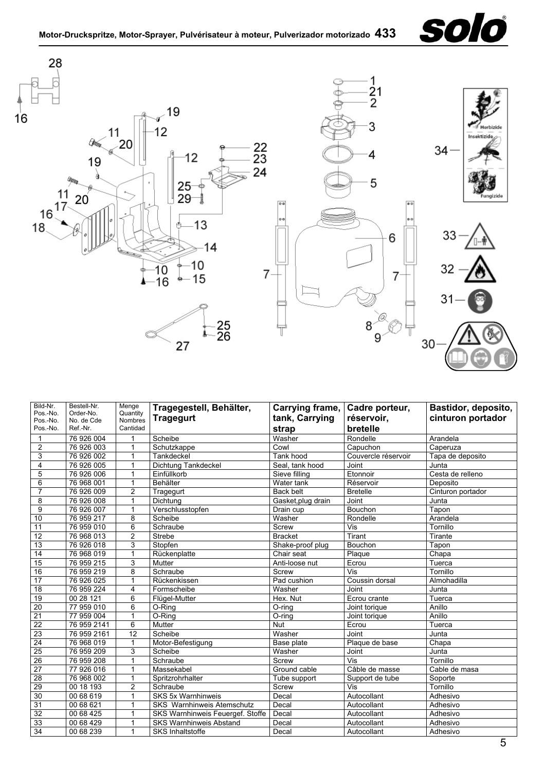





| Bild-Nr.<br>Pos.-No.<br>Pos.-No.<br>Pos.-No. | Bestell-Nr.<br>Order-No.<br>No. de Cde<br>Ref.-Nr. | Menge<br>Quantity<br><b>Nombres</b><br>Cantidad | Tragegestell, Behälter,<br><b>Tragegurt</b> | Carrying frame,<br>tank, Carrying<br>strap | Cadre porteur,<br>réservoir,<br>bretelle | Bastidor, deposito,<br>cinturon portador |
|----------------------------------------------|----------------------------------------------------|-------------------------------------------------|---------------------------------------------|--------------------------------------------|------------------------------------------|------------------------------------------|
| $\mathbf{1}$                                 | 76 926 004                                         |                                                 | Scheibe                                     | Washer                                     | Rondelle                                 | Arandela                                 |
| $\overline{2}$                               | 76 926 003                                         | 1                                               | Schutzkappe                                 | Cowl                                       | Capuchon                                 | Caperuza                                 |
| $\mathsf 3$                                  | 76 926 002                                         | 1                                               | Tankdeckel                                  | Tank hood                                  | Couvercle réservoir                      | Tapa de deposito                         |
| $\overline{\mathbf{4}}$                      | 76 926 005                                         | 1                                               | Dichtung Tankdeckel                         | Seal. tank hood                            | Joint                                    | Junta                                    |
| 5                                            | 76 926 006                                         | 1                                               | Einfüllkorb                                 | Sieve filling                              | Etonnoir                                 | Cesta de relleno                         |
| 6                                            | 76 968 001                                         | 1                                               | <b>Behälter</b>                             | Water tank                                 | Réservoir                                | Deposito                                 |
| $\overline{7}$                               | 76 926 009                                         | $\overline{2}$                                  | Tragegurt                                   | <b>Back belt</b>                           | <b>Bretelle</b>                          | Cinturon portador                        |
| 8                                            | 76 926 008                                         | 1                                               | Dichtung                                    | Gasket, plug drain                         | Joint                                    | Junta                                    |
| 9                                            | 76 926 007                                         |                                                 | Verschlusstopfen                            | Drain cup                                  | Bouchon                                  | Tapon                                    |
| 10                                           | 76 959 217                                         | 8                                               | Scheibe                                     | Washer                                     | Rondelle                                 | Arandela                                 |
| 11                                           | 76 959 010                                         | 6                                               | Schraube                                    | Screw                                      | Vis                                      | Tornillo                                 |
| 12                                           | 76 968 013                                         | $\overline{2}$                                  | <b>Strebe</b>                               | <b>Bracket</b>                             | Tirant                                   | Tirante                                  |
| 13                                           | 76 926 018                                         | 3                                               | Stopfen                                     | Shake-proof plug                           | Bouchon                                  | Tapon                                    |
| $\overline{14}$                              | 76 968 019                                         | $\mathbf 1$                                     | Rückenplatte                                | Chair seat                                 | Plaque                                   | Chapa                                    |
| 15                                           | 76 959 215                                         | 3                                               | Mutter                                      | Anti-loose nut                             | Ecrou                                    | Tuerca                                   |
| 16                                           | 76 959 219                                         | 8                                               | Schraube                                    | Screw                                      | Vis                                      | Tornillo                                 |
| $\overline{17}$                              | 76 926 025                                         | 1                                               | Rückenkissen                                | Pad cushion                                | Coussin dorsal                           | Almohadilla                              |
| $\overline{18}$                              | 76 959 224                                         | 4                                               | Formscheibe                                 | Washer                                     | Joint                                    | Junta                                    |
| 19                                           | 00 28 121                                          | 6                                               | Flügel-Mutter                               | Hex. Nut                                   | Ecrou crante                             | Tuerca                                   |
| 20                                           | 77 959 010                                         | 6                                               | O-Ring                                      | O-ring                                     | Joint torique                            | Anillo                                   |
| $\overline{21}$                              | 77 959 004                                         | 1                                               | $O-Ring$                                    | O-ring                                     | Joint torique                            | Anillo                                   |
| $\overline{22}$                              | 76 959 2141                                        | 6                                               | Mutter                                      | Nut                                        | Ecrou                                    | Tuerca                                   |
| $\overline{23}$                              | 76 959 2161                                        | $\overline{12}$                                 | Scheibe                                     | Washer                                     | Joint                                    | Junta                                    |
| $\overline{24}$                              | 76 968 019                                         | 1                                               | Motor-Befestigung                           | Base plate                                 | Plaque de base                           | Chapa                                    |
| 25                                           | 76 959 209                                         | 3                                               | Scheibe                                     | Washer                                     | Joint                                    | Junta                                    |
| 26                                           | 76 959 208                                         | 1                                               | Schraube                                    | Screw                                      | Vis                                      | Tornillo                                 |
| $\overline{27}$                              | 77 926 016                                         | 1                                               | Massekabel                                  | Ground cable                               | Câble de masse                           | Cable de masa                            |
| $\overline{28}$                              | 76 968 002                                         | 1                                               | Spritzrohrhalter                            | Tube support                               | Support de tube                          | Soporte                                  |
| 29                                           | 00 18 193                                          | $\overline{c}$                                  | Schraube                                    | Screw                                      | Vis                                      | Tornillo                                 |
| 30                                           | 00 68 619                                          | 1                                               | <b>SKS 5x Warnhinweis</b>                   | Decal                                      | Autocollant                              | Adhesivo                                 |
| 31                                           | 00 68 621                                          | 1                                               | <b>SKS Warnhinweis Atemschutz</b>           | Decal                                      | Autocollant                              | Adhesivo                                 |
| 32                                           | 00 68 425                                          |                                                 | SKS Warnhinweis Feuergef. Stoffe            | Decal                                      | Autocollant                              | Adhesivo                                 |
| 33                                           | 00 68 429                                          | 1                                               | <b>SKS Warnhinweis Abstand</b>              | Decal                                      | Autocollant                              | Adhesivo                                 |
| 34                                           | 00 68 239                                          | 1                                               | <b>SKS Inhaltstoffe</b>                     | Decal                                      | Autocollant                              | Adhesivo                                 |
|                                              |                                                    |                                                 |                                             |                                            |                                          | 5                                        |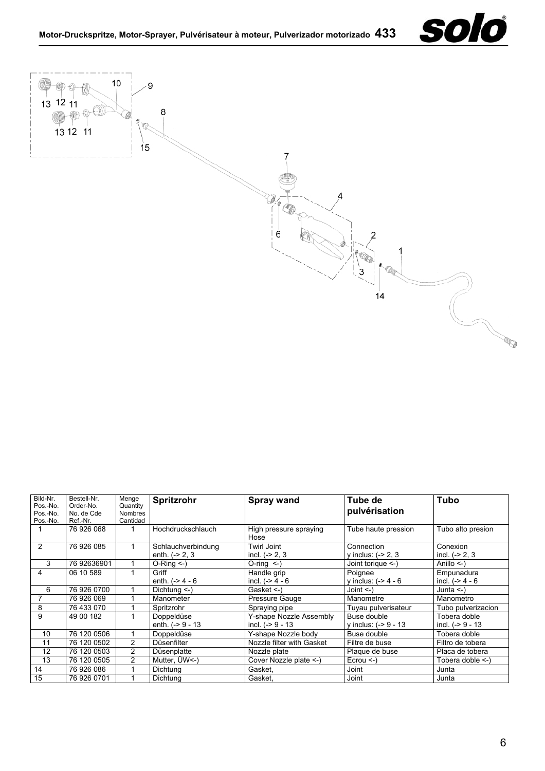



| Bild-Nr.<br>Pos.-No.<br>Pos.-No.<br>Pos.-No. | Bestell-Nr.<br>Order-No.<br>No. de Cde<br>Ref.-Nr. | Menge<br>Quantity<br><b>Nombres</b><br>Cantidad | Spritzrohr                            | <b>Spray wand</b>                           | Tube de<br>pulvérisation              | <b>Tubo</b>                        |
|----------------------------------------------|----------------------------------------------------|-------------------------------------------------|---------------------------------------|---------------------------------------------|---------------------------------------|------------------------------------|
|                                              | 76 926 068                                         |                                                 | Hochdruckschlauch                     | High pressure spraying<br>Hose              | Tube haute pression                   | Tubo alto presion                  |
| 2                                            | 76 926 085                                         |                                                 | Schlauchverbindung<br>enth. $(-2, 3)$ | Twirl Joint<br>incl. $(-2, 3)$              | Connection<br>y inclus: $(-2, 3)$     | Conexion<br>incl. $(-2, 3)$        |
| 3                                            | 76 92636901                                        |                                                 | $O-Rinq <$ )                          | $O$ -ring $\leq$ -)                         | Joint torique <-)                     | Anillo $\leq$ )                    |
| 4                                            | 06 10 589                                          |                                                 | Griff<br>enth. $(-> 4 - 6)$           | Handle grip<br>incl. $(->4-6$               | Poignee<br>v inclus: $(-24 - 6$       | Empunadura<br>incl. $(->4-6$       |
| 6                                            | 76 926 0700                                        |                                                 | Dichtung $\leq$ -)                    | Gasket <-)                                  | Joint $\leq$ )                        | Junta $\leq$ )                     |
|                                              | 76 926 069                                         |                                                 | Manometer                             | Pressure Gauge                              | Manometre                             | Manometro                          |
| 8                                            | 76 433 070                                         |                                                 | Spritzrohr                            | Spraying pipe                               | Tuyau pulverisateur                   | Tubo pulverizacion                 |
| 9                                            | 49 00 182                                          |                                                 | Doppeldüse<br>enth. $(-59 - 13)$      | Y-shape Nozzle Assembly<br>incl. (-> 9 - 13 | Buse double<br>y inclus: $(-59 - 13)$ | Tobera doble<br>incl. $(-59 - 13)$ |
| 10                                           | 76 120 0506                                        |                                                 | Doppeldüse                            | Y-shape Nozzle body                         | Buse double                           | Tobera doble                       |
| 11                                           | 76 120 0502                                        | $\overline{2}$                                  | Düsenfilter                           | Nozzle filter with Gasket                   | Filtre de buse                        | Filtro de tobera                   |
| 12                                           | 76 120 0503                                        | $\overline{2}$                                  | Düsenplatte                           | Nozzle plate                                | Plaque de buse                        | Placa de tobera                    |
| 13                                           | 76 120 0505                                        | $\overline{2}$                                  | Mutter, UW<-)                         | Cover Nozzle plate <-)                      | $E$ crou $\leq$ -)                    | Tobera doble <-)                   |
| 14                                           | 76 926 086                                         |                                                 | Dichtung                              | Gasket.                                     | Joint                                 | Junta                              |
| 15                                           | 76 926 0701                                        |                                                 | Dichtung                              | Gasket.                                     | Joint                                 | Junta                              |